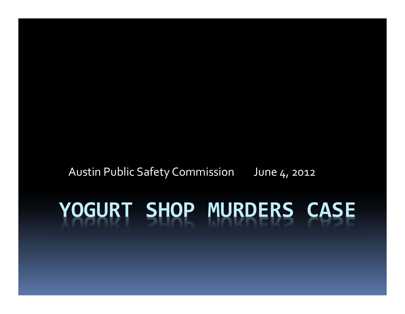# **YOGURT SHOP MURDERS CASE**

Austin Public Safety Commission June <sub>4</sub>, 2012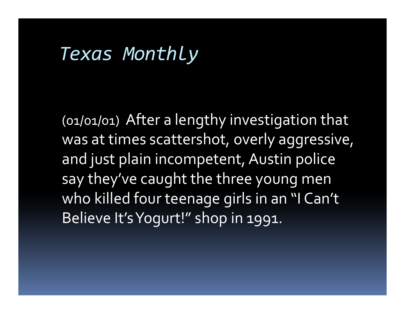### *Texas Monthly*

(01/01/01) After <sup>a</sup> lengthy investigation that was at times scattershot, overly aggressive, and just plain incompetent, Austin police say they've caught the three young men who killed four teenage girls in an "I Can't Believe It'sYogurt!" shop in 1991.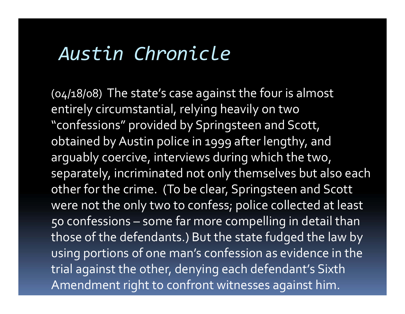### *Austin Chronicle*

(04/18/08) The state's case against the four is almost entirely circumstantial, relying heavily on two "confessions" provided by Springsteen and Scott, obtained byAustin police in 1999 after lengthy, and arguably coercive, interviews during which the two, separately, incriminated not only themselves but also each other for the crime. (To be clear, Springsteen and Scott were not the only two to confess; police collected at least 50 confessions – some far more compelling in detail than those of the defendants.) But the state fudged the law by using portions of one man's confession as evidence in the trial against the other, denying each defendant's Sixth Amendment right to confront witnesses against him.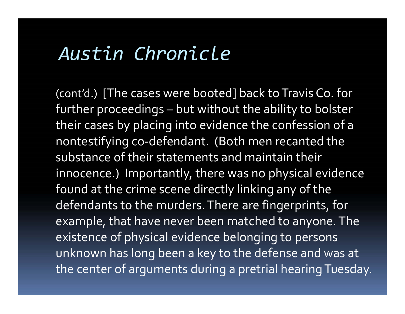### *Austin Chronicle*

(cont'd.) [The cases were booted] back to Travis Co. for further proceedings – but without the ability to bolster their cases by placing into evidence the confession of <sup>a</sup> nontestifying co‐defendant. (Both men recanted the substance of their statements and maintain their innocence.) Importantly, there was no physical evidence found at the crime scene directly linking any of the defendants to the murders.There are fingerprints, for example, that have never been matched to anyone. The existence of physical evidence belonging to persons unknown has long been <sup>a</sup> key to the defense and was at the center of arguments during <sup>a</sup> pretrial hearing Tuesday.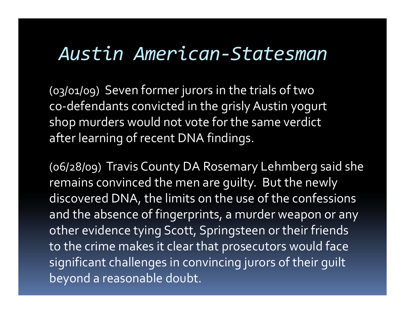#### *Austin American‐Statesman*

(03/01/09) Seven former jurors in the trials of two co‐defendants convicted in the grisly Austin yogur<sup>t</sup> shop murders would not vote for the same verdict after learning of recent DNA findings.

(06/28/09) Travis County DA Rosemary Lehmberg said she remains convinced the men are guilty. But the newly discovered DNA, the limits on the use of the confessions and the absence of fingerprints, <sup>a</sup> murder weapon or any other evidence tying Scott, Springsteen or their friends to the crime makes it clear that prosecutors would face significant challenges in convincing jurors of their guilt beyond <sup>a</sup> reasonable doubt.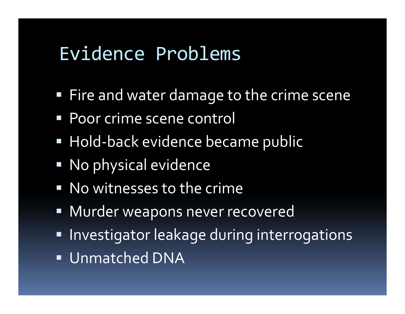### Evidence Problems

- $\textcolor{red}{\bullet}$  Fire and water damage to the crime scene
- **Poor crime scene control**
- Hold-back evidence became public
- No physical evidence
- **No witnesses to the crime**
- Murder weapons never recovered
- **Investigator leakage during interrogations**
- Unmatched DNA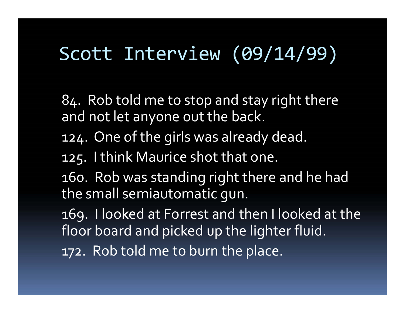### Scott Interview (09/14/99)

84. Rob told me to stop and stay right there and not let anyone out the back.

- 124. One of the girls was already dead.
- 125. I think Maurice shot that one.

160. Rob was standing right there and he had the small semiautomatic gun.

169. I looked at Forrest and then I looked at the floor board and picked up the lighter fluid.

172. Rob told me to burn the place.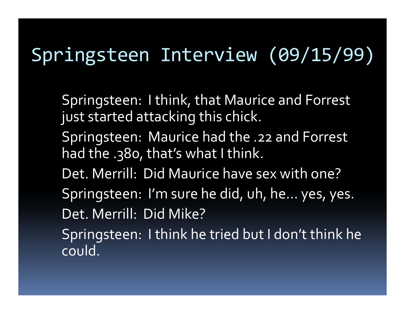## Springsteen Interview (09/15/99)

Springsteen: <sup>I</sup> think, that Maurice and Forrest just started attacking this chick.

- Springsteen: Maurice had the .22 and Forrest had the .380, that's what I think.
- Det. Merrill: Did Maurice have sex with one?
- Springsteen: I'm sure he did, uh, he… yes, yes. Det. Merrill: Did Mike?

Springsteen: <sup>I</sup> think he tried but <sup>I</sup> don't think he could.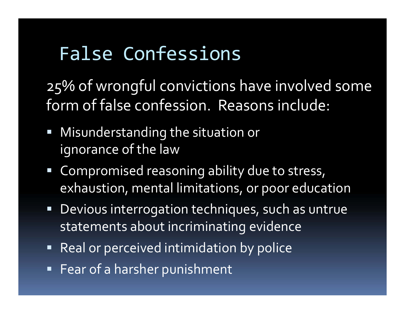# False Confessions

25% of wrongful convictions have involved some form of false confession. Reasons include:

- Misunderstanding the situation or ignorance of the law
- Compromised reasoning ability due to stress, exhaustion, mental limitations, or poor education
- Devious interrogation techniques, such as untrue statements about incriminating evidence
- Real or perceived intimidation by police
- Fear of <sup>a</sup> harsher punishment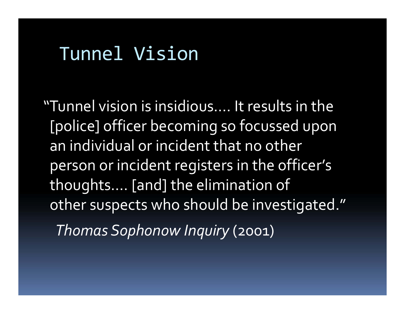### Tunnel Vision

"Tunnel vision is insidious…. It results in the [police] officer becoming so focussed upon an individual or incident that no other person or incident registers in the officer's thoughts…. [and] the elimination of other suspects who should be investigated." *Thomas Sophonow Inquiry* (2001)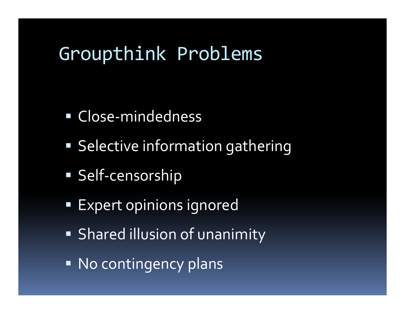### Groupthink Problems

- Close-mindedness
- **Selective information gathering**
- Self-censorship
- **Expert opinions ignored**
- Shared illusion of unanimity
- No contingency plans